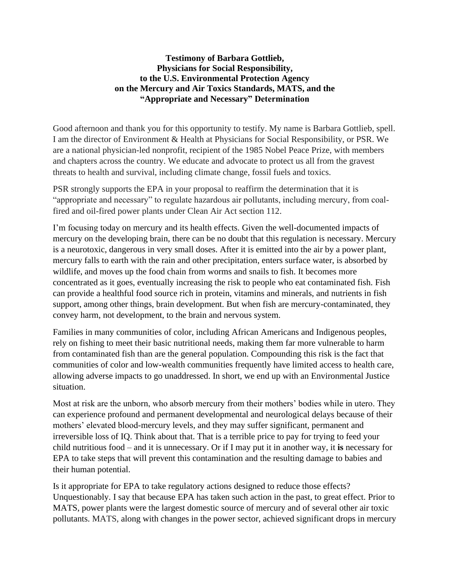## **Testimony of Barbara Gottlieb, Physicians for Social Responsibility, to the U.S. Environmental Protection Agency on the Mercury and Air Toxics Standards, MATS, and the "Appropriate and Necessary" Determination**

Good afternoon and thank you for this opportunity to testify. My name is Barbara Gottlieb, spell. I am the director of Environment & Health at Physicians for Social Responsibility, or PSR. We are a national physician-led nonprofit, recipient of the 1985 Nobel Peace Prize, with members and chapters across the country. We educate and advocate to protect us all from the gravest threats to health and survival, including climate change, fossil fuels and toxics.

PSR strongly supports the EPA in your proposal to reaffirm the determination that it is "appropriate and necessary" to regulate hazardous air pollutants, including mercury, from coalfired and oil-fired power plants under Clean Air Act section 112.

I'm focusing today on mercury and its health effects. Given the well-documented impacts of mercury on the developing brain, there can be no doubt that this regulation is necessary. Mercury is a neurotoxic, dangerous in very small doses. After it is emitted into the air by a power plant, mercury falls to earth with the rain and other precipitation, enters surface water, is absorbed by wildlife, and moves up the food chain from worms and snails to fish. It becomes more concentrated as it goes, eventually increasing the risk to people who eat contaminated fish. Fish can provide a healthful food source rich in protein, vitamins and minerals, and nutrients in fish support, among other things, brain development. But when fish are mercury-contaminated, they convey harm, not development, to the brain and nervous system.

Families in many communities of color, including African Americans and Indigenous peoples, rely on fishing to meet their basic nutritional needs, making them far more vulnerable to harm from contaminated fish than are the general population. Compounding this risk is the fact that communities of color and low-wealth communities frequently have limited access to health care, allowing adverse impacts to go unaddressed. In short, we end up with an Environmental Justice situation.

Most at risk are the unborn, who absorb mercury from their mothers' bodies while in utero. They can experience profound and permanent developmental and neurological delays because of their mothers' elevated blood-mercury levels, and they may suffer significant, permanent and irreversible loss of IQ. Think about that. That is a terrible price to pay for trying to feed your child nutritious food – and it is unnecessary. Or if I may put it in another way, it **is** necessary for EPA to take steps that will prevent this contamination and the resulting damage to babies and their human potential.

Is it appropriate for EPA to take regulatory actions designed to reduce those effects? Unquestionably. I say that because EPA has taken such action in the past, to great effect. Prior to MATS, power plants were the largest domestic source of mercury and of several other air toxic pollutants. MATS, along with changes in the power sector, achieved significant drops in mercury